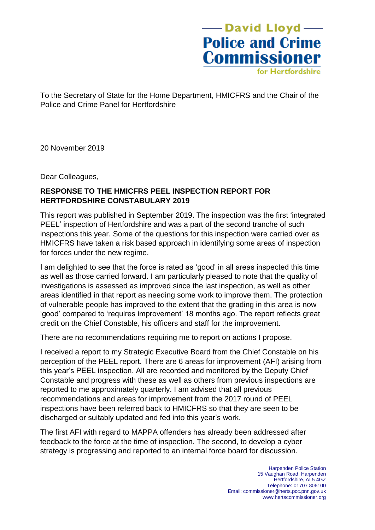-David Lloyd<sup>---</sup> **Police and Crime Commissioner** 

for Hertfordshire

To the Secretary of State for the Home Department, HMICFRS and the Chair of the Police and Crime Panel for Hertfordshire

20 November 2019

Dear Colleagues,

## **RESPONSE TO THE HMICFRS PEEL INSPECTION REPORT FOR HERTFORDSHIRE CONSTABULARY 2019**

This report was published in September 2019. The inspection was the first 'integrated PEEL' inspection of Hertfordshire and was a part of the second tranche of such inspections this year. Some of the questions for this inspection were carried over as HMICFRS have taken a risk based approach in identifying some areas of inspection for forces under the new regime.

I am delighted to see that the force is rated as 'good' in all areas inspected this time as well as those carried forward. I am particularly pleased to note that the quality of investigations is assessed as improved since the last inspection, as well as other areas identified in that report as needing some work to improve them. The protection of vulnerable people has improved to the extent that the grading in this area is now 'good' compared to 'requires improvement' 18 months ago. The report reflects great credit on the Chief Constable, his officers and staff for the improvement.

There are no recommendations requiring me to report on actions I propose.

I received a report to my Strategic Executive Board from the Chief Constable on his perception of the PEEL report. There are 6 areas for improvement (AFI) arising from this year's PEEL inspection. All are recorded and monitored by the Deputy Chief Constable and progress with these as well as others from previous inspections are reported to me approximately quarterly. I am advised that all previous recommendations and areas for improvement from the 2017 round of PEEL inspections have been referred back to HMICFRS so that they are seen to be discharged or suitably updated and fed into this year's work.

The first AFI with regard to MAPPA offenders has already been addressed after feedback to the force at the time of inspection. The second, to develop a cyber strategy is progressing and reported to an internal force board for discussion.